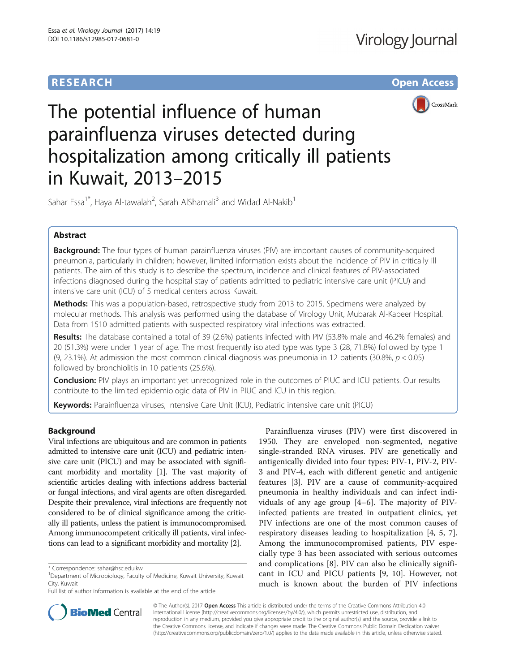# **RESEARCH CHE Open Access**



The potential influence of human parainfluenza viruses detected during hospitalization among critically ill patients in Kuwait, 2013–2015

Sahar Essa<sup>1\*</sup>, Haya Al-tawalah<sup>2</sup>, Sarah AlShamali<sup>3</sup> and Widad Al-Nakib<sup>1</sup>

# Abstract

Background: The four types of human parainfluenza viruses (PIV) are important causes of community-acquired pneumonia, particularly in children; however, limited information exists about the incidence of PIV in critically ill patients. The aim of this study is to describe the spectrum, incidence and clinical features of PIV-associated infections diagnosed during the hospital stay of patients admitted to pediatric intensive care unit (PICU) and intensive care unit (ICU) of 5 medical centers across Kuwait.

Methods: This was a population-based, retrospective study from 2013 to 2015. Specimens were analyzed by molecular methods. This analysis was performed using the database of Virology Unit, Mubarak Al-Kabeer Hospital. Data from 1510 admitted patients with suspected respiratory viral infections was extracted.

Results: The database contained a total of 39 (2.6%) patients infected with PIV (53.8% male and 46.2% females) and 20 (51.3%) were under 1 year of age. The most frequently isolated type was type 3 (28, 71.8%) followed by type 1 (9, 23.1%). At admission the most common clinical diagnosis was pneumonia in 12 patients (30.8%,  $p < 0.05$ ) followed by bronchiolitis in 10 patients (25.6%).

**Conclusion:** PIV plays an important yet unrecognized role in the outcomes of PIUC and ICU patients. Our results contribute to the limited epidemiologic data of PIV in PIUC and ICU in this region.

Keywords: Parainfluenza viruses, Intensive Care Unit (ICU), Pediatric intensive care unit (PICU)

# Background

Viral infections are ubiquitous and are common in patients admitted to intensive care unit (ICU) and pediatric intensive care unit (PICU) and may be associated with significant morbidity and mortality [\[1](#page-5-0)]. The vast majority of scientific articles dealing with infections address bacterial or fungal infections, and viral agents are often disregarded. Despite their prevalence, viral infections are frequently not considered to be of clinical significance among the critically ill patients, unless the patient is immunocompromised. Among immunocompetent critically ill patients, viral infections can lead to a significant morbidity and mortality [\[2\]](#page-5-0).

Parainfluenza viruses (PIV) were first discovered in 1950. They are enveloped non-segmented, negative single-stranded RNA viruses. PIV are genetically and antigenically divided into four types: PIV-1, PIV-2, PIV-3 and PIV-4, each with different genetic and antigenic features [[3](#page-5-0)]. PIV are a cause of community-acquired pneumonia in healthy individuals and can infect individuals of any age group [[4](#page-5-0)–[6\]](#page-5-0). The majority of PIVinfected patients are treated in outpatient clinics, yet PIV infections are one of the most common causes of respiratory diseases leading to hospitalization [[4, 5, 7](#page-5-0)]. Among the immunocompromised patients, PIV especially type 3 has been associated with serious outcomes and complications [[8\]](#page-5-0). PIV can also be clinically significant in ICU and PICU patients [[9, 10](#page-5-0)]. However, not much is known about the burden of PIV infections



© The Author(s). 2017 **Open Access** This article is distributed under the terms of the Creative Commons Attribution 4.0 International License [\(http://creativecommons.org/licenses/by/4.0/](http://creativecommons.org/licenses/by/4.0/)), which permits unrestricted use, distribution, and reproduction in any medium, provided you give appropriate credit to the original author(s) and the source, provide a link to the Creative Commons license, and indicate if changes were made. The Creative Commons Public Domain Dedication waiver [\(http://creativecommons.org/publicdomain/zero/1.0/](http://creativecommons.org/publicdomain/zero/1.0/)) applies to the data made available in this article, unless otherwise stated.

<sup>\*</sup> Correspondence: [sahar@hsc.edu.kw](mailto:sahar@hsc.edu.kw) <sup>1</sup>

Department of Microbiology, Faculty of Medicine, Kuwait University, Kuwait City, Kuwait

Full list of author information is available at the end of the article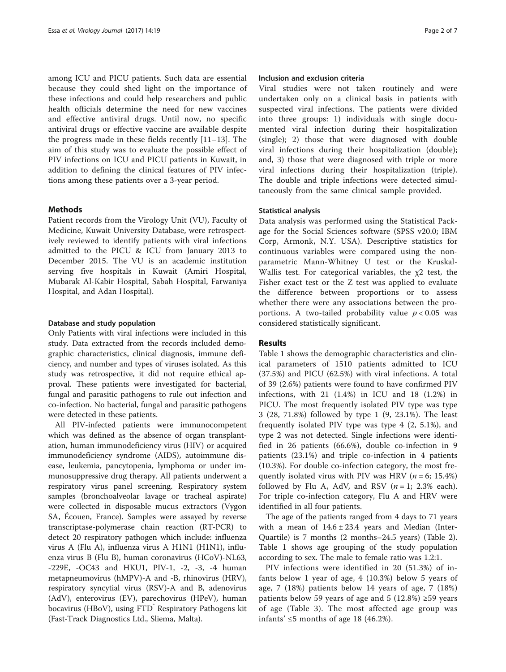among ICU and PICU patients. Such data are essential because they could shed light on the importance of these infections and could help researchers and public health officials determine the need for new vaccines and effective antiviral drugs. Until now, no specific antiviral drugs or effective vaccine are available despite the progress made in these fields recently [\[11](#page-5-0)–[13](#page-5-0)]. The aim of this study was to evaluate the possible effect of PIV infections on ICU and PICU patients in Kuwait, in addition to defining the clinical features of PIV infections among these patients over a 3-year period.

# Methods

Patient records from the Virology Unit (VU), Faculty of Medicine, Kuwait University Database, were retrospectively reviewed to identify patients with viral infections admitted to the PICU & ICU from January 2013 to December 2015. The VU is an academic institution serving five hospitals in Kuwait (Amiri Hospital, Mubarak Al-Kabir Hospital, Sabah Hospital, Farwaniya Hospital, and Adan Hospital).

## Database and study population

Only Patients with viral infections were included in this study. Data extracted from the records included demographic characteristics, clinical diagnosis, immune deficiency, and number and types of viruses isolated. As this study was retrospective, it did not require ethical approval. These patients were investigated for bacterial, fungal and parasitic pathogens to rule out infection and co-infection. No bacterial, fungal and parasitic pathogens were detected in these patients.

All PIV-infected patients were immunocompetent which was defined as the absence of organ transplantation, human immunodeficiency virus (HIV) or acquired immunodeficiency syndrome (AIDS), autoimmune disease, leukemia, pancytopenia, lymphoma or under immunosuppressive drug therapy. All patients underwent a respiratory virus panel screening. Respiratory system samples (bronchoalveolar lavage or tracheal aspirate) were collected in disposable mucus extractors (Vygon SA, Écouen, France). Samples were assayed by reverse transcriptase-polymerase chain reaction (RT-PCR) to detect 20 respiratory pathogen which include: influenza virus A (Flu A), influenza virus A H1N1 (H1N1), influenza virus B (Flu B), human coronavirus (HCoV)-NL63, -229E, -OC43 and HKU1, PIV-1, -2, -3, -4 human metapneumovirus (hMPV)-A and -B, rhinovirus (HRV), respiratory syncytial virus (RSV)-A and B, adenovirus (AdV), enterovirus (EV), parechovirus (HPeV), human bocavirus (HBoV), using FTD Respiratory Pathogens kit (Fast-Track Diagnostics Ltd., Sliema, Malta).

# Inclusion and exclusion criteria

Viral studies were not taken routinely and were undertaken only on a clinical basis in patients with suspected viral infections. The patients were divided into three groups: 1) individuals with single documented viral infection during their hospitalization (single); 2) those that were diagnosed with double viral infections during their hospitalization (double); and, 3) those that were diagnosed with triple or more viral infections during their hospitalization (triple). The double and triple infections were detected simultaneously from the same clinical sample provided.

## Statistical analysis

Data analysis was performed using the Statistical Package for the Social Sciences software (SPSS v20.0; IBM Corp, Armonk, N.Y. USA). Descriptive statistics for continuous variables were compared using the nonparametric Mann-Whitney U test or the Kruskal-Wallis test. For categorical variables, the χ2 test, the Fisher exact test or the Z test was applied to evaluate the difference between proportions or to assess whether there were any associations between the proportions. A two-tailed probability value  $p < 0.05$  was considered statistically significant.

## Results

Table [1](#page-2-0) shows the demographic characteristics and clinical parameters of 1510 patients admitted to ICU (37.5%) and PICU (62.5%) with viral infections. A total of 39 (2.6%) patients were found to have confirmed PIV infections, with 21 (1.4%) in ICU and 18 (1.2%) in PICU. The most frequently isolated PIV type was type 3 (28, 71.8%) followed by type 1 (9, 23.1%). The least frequently isolated PIV type was type 4 (2, 5.1%), and type 2 was not detected. Single infections were identified in 26 patients (66.6%), double co-infection in 9 patients (23.1%) and triple co-infection in 4 patients (10.3%). For double co-infection category, the most frequently isolated virus with PIV was HRV ( $n = 6$ ; 15.4%) followed by Flu A, AdV, and RSV  $(n = 1; 2.3\%$  each). For triple co-infection category, Flu A and HRV were identified in all four patients.

The age of the patients ranged from 4 days to 71 years with a mean of  $14.6 \pm 23.4$  years and Median (Inter-Quartile) is 7 months (2 months–24.5 years) (Table [2](#page-2-0)). Table [1](#page-2-0) shows age grouping of the study population according to sex. The male to female ratio was 1.2:1.

PIV infections were identified in 20 (51.3%) of infants below 1 year of age, 4 (10.3%) below 5 years of age, 7 (18%) patients below 14 years of age, 7 (18%) patients below 59 years of age and 5 (12.8%) ≥59 years of age (Table [3\)](#page-3-0). The most affected age group was infants'  $\leq$ 5 months of age 18 (46.2%).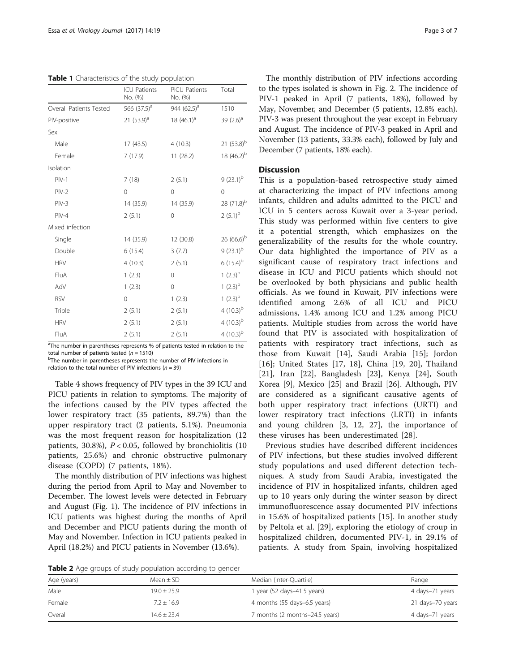<span id="page-2-0"></span>Table 1 Characteristics of the study population

|                         | <b>ICU Patients</b><br>No. (%) | <b>PICU Patients</b><br>No. (%) | Total                  |
|-------------------------|--------------------------------|---------------------------------|------------------------|
| Overall Patients Tested | 566 $(37.5)^a$                 | 944 $(62.5)^a$                  | 1510                   |
| PIV-positive            | 21 $(53.9)^a$                  | 18 $(46.1)^a$                   | 39 $(2.6)^a$           |
| Sex                     |                                |                                 |                        |
| Male                    | 17(43.5)                       | 4(10.3)                         | 21 $(53.8)^b$          |
| Female                  | 7(17.9)                        | 11(28.2)                        | 18 (46.2) <sup>b</sup> |
| Isolation               |                                |                                 |                        |
| $PIV-1$                 | 7(18)                          | 2(5.1)                          | $9(23.1)^b$            |
| $PIV-2$                 | $\Omega$                       | $\mathbf 0$                     | $\mathbf 0$            |
| $PIV-3$                 | 14 (35.9)                      | 14 (35.9)                       | $28(71.8)^{b}$         |
| $PIV-4$                 | 2(5.1)                         | 0                               | $2(5.1)^{b}$           |
| Mixed infection         |                                |                                 |                        |
| Single                  | 14 (35.9)                      | 12 (30.8)                       | $26(66.6)^b$           |
| Double                  | 6(15.4)                        | 3(7.7)                          | $9(23.1)^b$            |
| <b>HRV</b>              | 4(10.3)                        | 2(5.1)                          | $6(15.4)^{b}$          |
| FluA                    | 1(2.3)                         | $\mathbf 0$                     | 1 $(2.3)^{b}$          |
| AdV                     | 1(2.3)                         | 0                               | 1 $(2.3)^{b}$          |
| <b>RSV</b>              | $\Omega$                       | 1(2.3)                          | 1 $(2.3)^{b}$          |
| Triple                  | 2(5.1)                         | 2(5.1)                          | 4 $(10.3)^{b}$         |
| <b>HRV</b>              | 2(5.1)                         | 2(5.1)                          | 4 $(10.3)^{b}$         |
| FluA                    | 2(5.1)                         | 2(5.1)                          | 4 $(10.3)^{b}$         |

<sup>a</sup>The number in parentheses represents % of patients tested in relation to the total number of patients tested ( $n = 1510$ )

<sup>b</sup>The number in parentheses represents the number of PIV infections in relation to the total number of PIV infections ( $n = 39$ )

Table [4](#page-3-0) shows frequency of PIV types in the 39 ICU and PICU patients in relation to symptoms. The majority of the infections caused by the PIV types affected the lower respiratory tract (35 patients, 89.7%) than the upper respiratory tract (2 patients, 5.1%). Pneumonia was the most frequent reason for hospitalization (12 patients, 30.8%),  $P < 0.05$ , followed by bronchiolitis (10 patients, 25.6%) and chronic obstructive pulmonary disease (COPD) (7 patients, 18%).

The monthly distribution of PIV infections was highest during the period from April to May and November to December. The lowest levels were detected in February and August (Fig. [1](#page-4-0)). The incidence of PIV infections in ICU patients was highest during the months of April and December and PICU patients during the month of May and November. Infection in ICU patients peaked in April (18.2%) and PICU patients in November (13.6%).

The monthly distribution of PIV infections according to the types isolated is shown in Fig. [2.](#page-4-0) The incidence of PIV-1 peaked in April (7 patients, 18%), followed by May, November, and December (5 patients, 12.8% each). PIV-3 was present throughout the year except in February and August. The incidence of PIV-3 peaked in April and November (13 patients, 33.3% each), followed by July and December (7 patients, 18% each).

# **Discussion**

This is a population-based retrospective study aimed at characterizing the impact of PIV infections among infants, children and adults admitted to the PICU and ICU in 5 centers across Kuwait over a 3-year period. This study was performed within five centers to give it a potential strength, which emphasizes on the generalizability of the results for the whole country. Our data highlighted the importance of PIV as a significant cause of respiratory tract infections and disease in ICU and PICU patients which should not be overlooked by both physicians and public health officials. As we found in Kuwait, PIV infections were identified among 2.6% of all ICU and PICU admissions, 1.4% among ICU and 1.2% among PICU patients. Multiple studies from across the world have found that PIV is associated with hospitalization of patients with respiratory tract infections, such as those from Kuwait [\[14](#page-5-0)], Saudi Arabia [\[15](#page-5-0)]; Jordon [[16\]](#page-5-0); United States [\[17](#page-5-0), [18](#page-5-0)], China [[19, 20\]](#page-5-0), Thailand [[21\]](#page-5-0), Iran [[22\]](#page-5-0), Bangladesh [\[23](#page-5-0)], Kenya [\[24](#page-5-0)], South Korea [[9\]](#page-5-0), Mexico [[25\]](#page-5-0) and Brazil [[26\]](#page-5-0). Although, PIV are considered as a significant causative agents of both upper respiratory tract infections (URTI) and lower respiratory tract infections (LRTI) in infants and young children [\[3](#page-5-0), [12](#page-5-0), [27\]](#page-5-0), the importance of these viruses has been underestimated [[28\]](#page-5-0).

Previous studies have described different incidences of PIV infections, but these studies involved different study populations and used different detection techniques. A study from Saudi Arabia, investigated the incidence of PIV in hospitalized infants, children aged up to 10 years only during the winter season by direct immunofluorescence assay documented PIV infections in 15.6% of hospitalized patients [[15](#page-5-0)]. In another study by Peltola et al. [[29\]](#page-5-0), exploring the etiology of croup in hospitalized children, documented PIV-1, in 29.1% of patients. A study from Spain, involving hospitalized

Table 2 Age groups of study population according to gender

| Age (years) | Mean $\pm$ SD | Median (Inter-Quartile)        | Range            |  |  |  |
|-------------|---------------|--------------------------------|------------------|--|--|--|
| Male        | $19.0 + 25.9$ | 1 year (52 days-41.5 years)    | 4 days-71 years  |  |  |  |
| Female      | $7.2 + 16.9$  | 4 months (55 days-6.5 years)   | 21 days-70 years |  |  |  |
| Overall     | $14.6 + 23.4$ | 7 months (2 months-24.5 years) | 4 days-71 years  |  |  |  |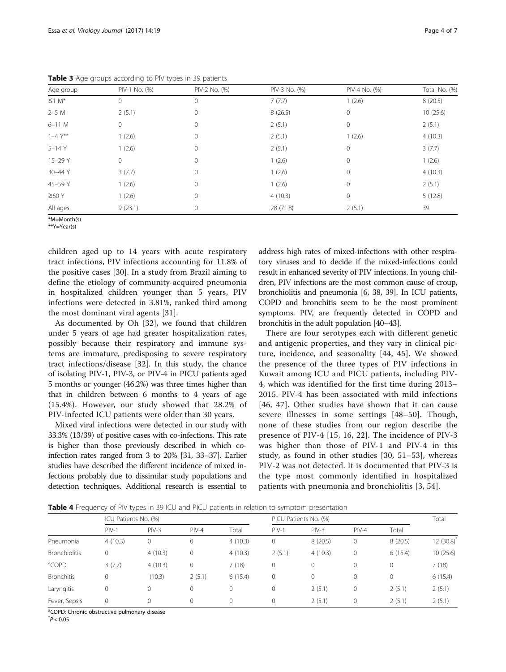|  |  | ـ ۔<br>. . |
|--|--|------------|
|  |  |            |
|  |  |            |
|  |  |            |

| Age group               | PIV-1 No. (%) | PIV-2 No. (%) | PIV-3 No. (%) | PIV-4 No. (%) | Total No. (%) |
|-------------------------|---------------|---------------|---------------|---------------|---------------|
| $\leq$ 1 M <sup>*</sup> | $\Omega$      | 0             | 7(7.7)        | 1(2.6)        | 8(20.5)       |
| $2-5M$                  | 2(5.1)        | 0             | 8(26.5)       | $\mathbf{0}$  | 10(25.6)      |
| $6-11$ M                | 0             | 0             | 2(5.1)        | $\circ$       | 2(5.1)        |
| $1 - 4Y^*$              | 1(2.6)        | 0             | 2(5.1)        | 1(2.6)        | 4(10.3)       |
| $5 - 14Y$               | 1(2.6)        | 0             | 2(5.1)        | $\mathbf{0}$  | 3(7.7)        |
| 15-29 Y                 | 0             | 0             | 1(2.6)        | $\mathbf{0}$  | 1(2.6)        |
| 30-44 Y                 | 3(7.7)        | 0             | 1(2.6)        | $\mathbf 0$   | 4(10.3)       |
| 45-59 Y                 | 1(2.6)        | 0             | 1(2.6)        | $\mathbf{0}$  | 2(5.1)        |
| $\geq 60$ Y             | 1(2.6)        | 0             | 4(10.3)       | $\mathbf{0}$  | 5(12.8)       |
| All ages                | 9(23.1)       | 0             | 28 (71.8)     | 2(5.1)        | 39            |

<span id="page-3-0"></span>Table 3 Age groups according to PIV types in 39 patients

\*M=Month(s)

\*\*Y=Year(s)

children aged up to 14 years with acute respiratory tract infections, PIV infections accounting for 11.8% of the positive cases [\[30](#page-5-0)]. In a study from Brazil aiming to define the etiology of community-acquired pneumonia in hospitalized children younger than 5 years, PIV infections were detected in 3.81%, ranked third among the most dominant viral agents [[31](#page-5-0)].

As documented by Oh [[32](#page-5-0)], we found that children under 5 years of age had greater hospitalization rates, possibly because their respiratory and immune systems are immature, predisposing to severe respiratory tract infections/disease [[32\]](#page-5-0). In this study, the chance of isolating PIV-1, PIV-3, or PIV-4 in PICU patients aged 5 months or younger (46.2%) was three times higher than that in children between 6 months to 4 years of age (15.4%). However, our study showed that 28.2% of PIV-infected ICU patients were older than 30 years.

Mixed viral infections were detected in our study with 33.3% (13/39) of positive cases with co-infections. This rate is higher than those previously described in which coinfection rates ranged from 3 to 20% [[31](#page-5-0), [33](#page-5-0)–[37\]](#page-6-0). Earlier studies have described the different incidence of mixed infections probably due to dissimilar study populations and detection techniques. Additional research is essential to address high rates of mixed-infections with other respiratory viruses and to decide if the mixed-infections could result in enhanced severity of PIV infections. In young children, PIV infections are the most common cause of croup, bronchiolitis and pneumonia [[6,](#page-5-0) [38, 39](#page-6-0)]. In ICU patients, COPD and bronchitis seem to be the most prominent symptoms. PIV, are frequently detected in COPD and bronchitis in the adult population [[40](#page-6-0)–[43](#page-6-0)].

There are four serotypes each with different genetic and antigenic properties, and they vary in clinical picture, incidence, and seasonality [\[44, 45\]](#page-6-0). We showed the presence of the three types of PIV infections in Kuwait among ICU and PICU patients, including PIV-4, which was identified for the first time during 2013– 2015. PIV-4 has been associated with mild infections [[46](#page-6-0), [47](#page-6-0)]. Other studies have shown that it can cause severe illnesses in some settings [\[48](#page-6-0)–[50](#page-6-0)]. Though, none of these studies from our region describe the presence of PIV-4 [[15](#page-5-0), [16](#page-5-0), [22\]](#page-5-0). The incidence of PIV-3 was higher than those of PIV-1 and PIV-4 in this study, as found in other studies [[30,](#page-5-0) [51](#page-6-0)–[53\]](#page-6-0), whereas PIV-2 was not detected. It is documented that PIV-3 is the type most commonly identified in hospitalized patients with pneumonia and bronchiolitis [\[3](#page-5-0), [54\]](#page-6-0).

**Table 4** Frequency of PIV types in 39 ICU and PICU patients in relation to symptom presentation

|                      | ICU Patients No. (%) |         |              |         | PICU Patients No. (%) |         |         | Total       |          |
|----------------------|----------------------|---------|--------------|---------|-----------------------|---------|---------|-------------|----------|
|                      | $PIV-1$              | $PIV-3$ | $PIV-4$      | Total   | $PIV-1$               | $PIV-3$ | $PIV-4$ | Total       |          |
| Pneumonia            | 4(10.3)              | 0       | $\mathbf 0$  | 4(10.3) | 0                     | 8(20.5) | 0       | 8(20.5)     | 12(30.8) |
| <b>Bronchiolitis</b> | $\mathbf 0$          | 4(10.3) | $\circ$      | 4(10.3) | 2(5.1)                | 4(10.3) | 0       | 6(15.4)     | 10(25.6) |
| <sup>a</sup> COPD    | 3(7.7)               | 4(10.3) | $\mathbf{0}$ | 7(18)   | 0                     | 0       | 0       | $\mathbf 0$ | 7(18)    |
| <b>Bronchitis</b>    | $\mathbf{0}$         | (10.3)  | 2(5.1)       | 6(15.4) | 0                     | 0       | 0       | $\mathbf 0$ | 6(15.4)  |
| Laryngitis           | $\mathbf{0}$         | 0       | $\mathbf 0$  |         | $\Omega$              | 2(5.1)  | 0       | 2(5.1)      | 2(5.1)   |
| Fever, Sepsis        | $\mathbf{0}$         | 0       | $\mathbf{0}$ |         | 0                     | 2(5.1)  | 0       | 2(5.1)      | 2(5.1)   |

<sup>a</sup>COPD: Chronic obstructive pulmonary disease

 $*P < 0.05$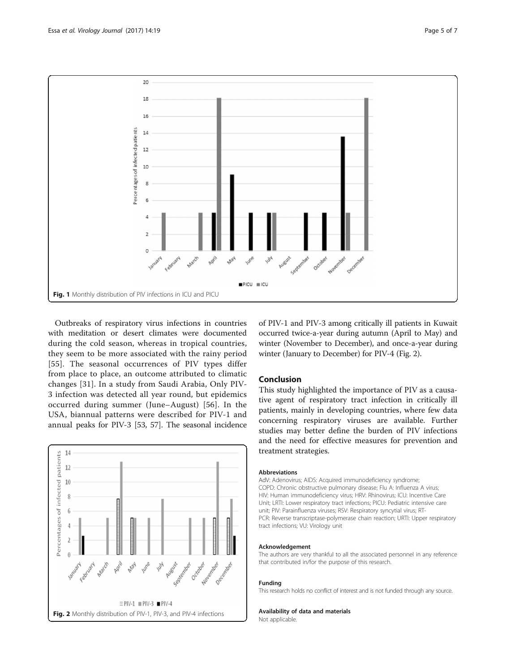<span id="page-4-0"></span>

Outbreaks of respiratory virus infections in countries with meditation or desert climates were documented during the cold season, whereas in tropical countries, they seem to be more associated with the rainy period [[55](#page-6-0)]. The seasonal occurrences of PIV types differ from place to place, an outcome attributed to climatic changes [[31](#page-5-0)]. In a study from Saudi Arabia, Only PIV-3 infection was detected all year round, but epidemics occurred during summer (June–August) [[56\]](#page-6-0). In the USA, biannual patterns were described for PIV-1 and annual peaks for PIV-3 [\[53](#page-6-0), [57\]](#page-6-0). The seasonal incidence



of PIV-1 and PIV-3 among critically ill patients in Kuwait occurred twice-a-year during autumn (April to May) and winter (November to December), and once-a-year during winter (January to December) for PIV-4 (Fig. 2).

# Conclusion

This study highlighted the importance of PIV as a causative agent of respiratory tract infection in critically ill patients, mainly in developing countries, where few data concerning respiratory viruses are available. Further studies may better define the burden of PIV infections and the need for effective measures for prevention and treatment strategies.

#### Abbreviations

AdV: Adenovirus; AIDS: Acquired immunodeficiency syndrome; COPD: Chronic obstructive pulmonary disease; Flu A: Influenza A virus; HIV: Human immunodeficiency virus; HRV: Rhinovirus; ICU: Incentive Care Unit; LRTI: Lower respiratory tract infections; PICU: Pediatric intensive care unit; PIV: Parainfluenza viruses; RSV: Respiratory syncytial virus; RT-PCR: Reverse transcriptase-polymerase chain reaction; URTI: Upper respiratory tract infections; VU: Virology unit

## Acknowledgement

The authors are very thankful to all the associated personnel in any reference that contributed in/for the purpose of this research.

## Funding

This research holds no conflict of interest and is not funded through any source.

#### Availability of data and materials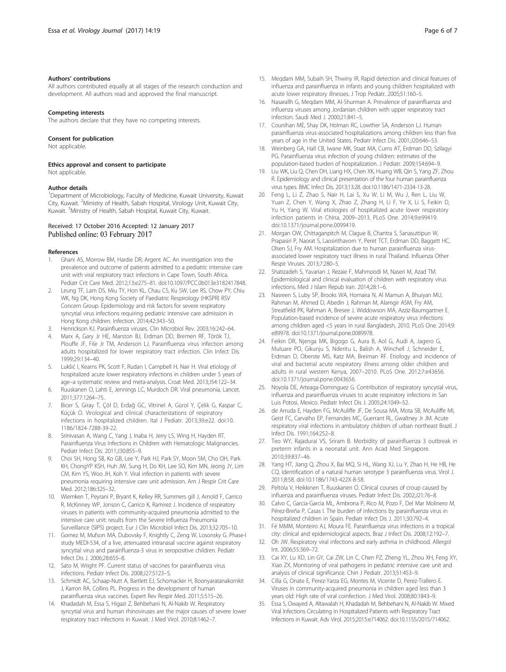#### <span id="page-5-0"></span>Authors' contributions

All authors contributed equally at all stages of the research conduction and development. All authors read and approved the final manuscript.

#### Competing interests

The authors declare that they have no competing interests.

#### Consent for publication

Not applicable.

#### Ethics approval and consent to participate

Not applicable.

#### Author details

<sup>1</sup>Department of Microbiology, Faculty of Medicine, Kuwait University, Kuwait City, Kuwait. <sup>2</sup>Ministry of Health, Sabah Hospital, Virology Unit, Kuwait City, Kuwait. <sup>3</sup> Ministry of Health, Sabah Hospital, Kuwait City, Kuwait.

#### Received: 17 October 2016 Accepted: 12 January 2017 Published online: 03 February 2017

#### References

- 1. Ghani AS, Morrow BM, Hardie DR, Argent AC. An investigation into the prevalence and outcome of patients admitted to a pediatric intensive care unit with viral respiratory tract infections in Cape Town, South Africa. Pediatr Crit Care Med. 2012;13:e275–81. doi:[10.1097/PCC.0b013e3182417848.](http://dx.doi.org/10.1097/PCC.0b013e3182417848)
- 2. Leung TF, Lam DS, Miu TY, Hon KL, Chau CS, Ku SW, Lee RS, Chow PY, Chiu WK, Ng DK, Hong Kong Society of Paediatric Respirology (HKSPR) RSV Concern Group. Epidemiology and risk factors for severe respiratory syncytial virus infections requiring pediatric intensive care admission in Hong Kong children. Infection. 2014;42:343–50.
- 3. Henrickson KJ. Parainfluenza viruses. Clin Microbiol Rev. 2003;16:242–64.
- 4. Marx A, Gary Jr HE, Marston BJ, Erdman DD, Bremen RF, Török TJ, Plouffe JF, File Jr TM, Anderson LJ. Parainfluenza virus infection among adults hospitalized for lower respiratory tract infection. Clin Infect Dis. 1999;29:134–40.
- 5. Lukšić I, Kearns PK, Scott F, Rudan I, Campbell H, Nair H. Viral etiology of hospitalized acute lower respiratory infections in children under 5 years of age–a systematic review and meta-analysis. Croat Med. 2013;J54:122–34.
- Ruuskanen O, Lahti E, Jennings LC, Murdoch DR. Viral pneumonia. Lancet. 2011;377:1264–75.
- 7. Bicer S, Giray T, Çöl D, Erdağ GC, Vitrinel A, Gürol Y, Çelik G, Kaspar C, Küçük O. Virological and clinical characterizations of respiratory infections in hospitalized children. Ital J Pediatr. 2013;39:e22. doi[:10.](http://dx.doi.org/10.1186/1824-7288-39-22) [1186/1824-7288-39-22.](http://dx.doi.org/10.1186/1824-7288-39-22)
- 8. Srinivasan A, Wang C, Yang J, Inaba H, Jerry LS, Wing H, Hayden RT. Parainfluenza Virus Infections in Children with Hematologic Malignancies. Pediatr Infect Dis. 2011;J30:855–9.
- 9. Choi SH, Hong SB, Ko GB, Lee Y, Park HJ, Park SY, Moon SM, Cho OH, Park KH, ChongYP KSH, Huh JW, Sung H, Do KH, Lee SO, Kim MN, Jeong JY, Lim CM, Kim YS, Woo JH, Koh Y. Viral infection in patients with severe pneumonia requiring intensive care unit admission. Am J Respir Crit Care Med. 2012;186:325–32.
- 10. Wiemken T, Peyrani P, Bryant K, Kelley RR, Summers gill J, Arnold F, Carrico R, McKinney WP, Jonson C, Carrico K, Ramirez J. Incidence of respiratory viruses in patients with community-acquired pneumonia admitted to the intensive care unit: results from the Severe Influenza Pneumonia Surveillance (SIPS) project. Eur J Clin Microbiol Infect Dis. 2013;32:705–10.
- 11. Gomez M, Mufson MA, Dubovsky F, Knightly C, Zeng W, Losonsky G. Phase-I study MEDI-534, of a live, attenuated intranasal vaccine against respiratory syncytial virus and parainfluenza-3 virus in seropositive children. Pediatr Infect Dis J. 2006;28:655–8.
- 12. Sato M, Wright PF. Current status of vaccines for parainfluenza virus infections. Pediatr Infect Dis. 2008;J27:S123–5.
- 13. Schmidt AC, Schaap-Nutt A, Bartlett EJ, Schomacker H, Boonyaratanakornkit J, Karron RA, Collins PL. Progress in the development of human parainfluenza virus vaccines. Expert Rev Respir Med. 2011;5:515–26.
- 14. Khadadah M, Essa S, Higazi Z, Behbehani N, Al-Nakib W. Respiratory syncytial virus and human rhinoviruses are the major causes of severe lower respiratory tract infections in Kuwait. J Med Virol. 2010;8:1462–7.
- 15. Meqdam MM, Subaih SH, Thwiny IR. Rapid detection and clinical features of influenza and parainfluenza in infants and young children hospitalized with acute lower respiratory illnesses. J Trop Pediatr. 2005;51:160–5.
- 16. Nasarallh G, Meqdam MM, Al-Shurman A. Prevalence of parainfluenza and influenza viruses among Jordanian children with upper respiratory tract infection. Saudi Med J. 2000;21:841–5.
- 17. Counihan ME, Shay DK, Holman RC, Lowther SA, Anderson LJ. Human parainfluenza virus-associated hospitalizations among children less than five years of age in the United States. Pediatr Infect Dis. 2001;J20:646–53.
- 18. Weinberg GA, Hall CB, Iwane MK, Staat MA, Curns AT, Erdman DD, Szilagyi PG. Parainfluenza virus infection of young children: estimates of the population-based burden of hospitalization. J Pediatr. 2009;154:694–9.
- 19. Liu WK, Liu Q, Chen DH, Liang HX, Chen XK, Huang WB, Qin S, Yang ZF, Zhou R. Epidemiology and clinical presentation of the four human parainfluenza virus types. BMC Infect Dis. 2013;13:28. doi[:10.1186/1471-2334-13-28](http://dx.doi.org/10.1186/1471-2334-13-28).
- 20. Feng L, Li Z, Zhao S, Nair H, Lai S, Xu W, Li M, Wu J, Ren L, Liu W, Yuan Z, Chen Y, Wang X, Zhao Z, Zhang H, Li F, Ye X, Li S, Feikin D, Yu H, Yang W. Viral etiologies of hospitalized acute lower respiratory infection patients in China, 2009–2013. PLoS One. 2014;9:e99419. doi[:10.1371/journal.pone.0099419.](http://dx.doi.org/10.1371/journal.pone.0099419)
- 21. Morgan OW, Chittaganpitch M, Clague B, Chantra S, Sanasuttipun W, Prapasiri P, Naorat S, Laosirithavorn Y, Peret TCT, Erdman DD, Baggett HC, Olsen SJ, Fry AM. Hospitalization due to human parainfluenza virusassociated lower respiratory tract illness in rural Thailand. Influenza Other Respir Viruses. 2013;7:280–5.
- 22. Shatizadeh S, Yavarian J, Rezaie F, Mahmoodi M, Naseri M, Azad TM. Epidemiological and clinical evaluation of children with respiratory virus infections. Med J Islam Repub Iran. 2014;28:1–6.
- 23. Nasreen S, Luby SP, Brooks WA, Homaira N, Al Mamun A, Bhuiyan MU, Rahman M, Ahmed D, Abedin J, Rahman M, Alamgir ASM, Fry AM, Streatfield PK, Rahman A, Bresee J, Widdowson MA, Azziz-Baumgartner E. Population-based incidence of severe acute respiratory virus infections among children aged <5 years in rural Bangladesh, 2010. PLoS One. 2014;9: e89978. doi:[10.1371/journal.pone.0089978.](http://dx.doi.org/10.1371/journal.pone.0089978)
- 24. Feikin DR, Njenga MK, Bigogo G, Aura B, Aol G, Audi A, Jagero G, Muluare PO, Gikunju S, Nderitu L, Balish A, Winchell J, Schneider E, Erdman D, Oberste MS, Katz MA, Breiman RF. Etiology and incidence of viral and bacterial acute respiratory illness among older children and adults in rural western Kenya, 2007–2010. PLoS One. 2012;7:e43656. doi[:10.1371/journal.pone.0043656.](http://dx.doi.org/10.1371/journal.pone.0043656)
- 25. Noyola DE, Arteaga-Dominguez G. Contribution of respiratory syncytial virus, influenza and parainfluenza viruses to acute respiratory infections in San Luis Potosi, Mexico. Pediatr Infect Dis J. 2005;24:1049–52.
- 26. de Arruda E, Hayden FG, McAuliffe JF, De Sousa MA, Mota SB, McAuliffe MI, Geist FC, Carvalho EP, Fernandes MC, Guerrant RL, Gwaltney Jr JM. Acute respiratory viral infections in ambulatory children of urban northeast Brazil. J Infect Dis. 1991;164:252–8.
- 27. Teo WY, Rajadurai VS, Sriram B. Morbidity of parainfluenza 3 outbreak in preterm infants in a neonatal unit. Ann Acad Med Singapore. 2010;39:837–46.
- 28. Yang HT, Jiang Q, Zhou X, Bai MQ, Si HL, Wang XJ, Lu Y, Zhao H, He HB, He CQ. Identification of a natural human serotype 3 parainfluenza virus. Virol J. 2011;8:58. doi:[10.1186/1743-422X-8-58.](http://dx.doi.org/10.1186/1743-422X-8-58)
- 29. Peltola V, Heikkinen T, Ruuskanen O. Clinical courses of croup caused by influenza and parainfluenza viruses. Pediatr Infect Dis. 2002;J21:76–8.
- 30. Calvo C, Garcia-Garcia ML, Ambrona P, Rico M, Pozo F, Del Mar Molinero M, Pérez-Breña P, Casas I. The burden of infections by parainfluenza virus in hospitalized children in Spain. Pediatr Infect Dis J. 2011;30:792–4.
- 31. Fé MMM, Monteiro AJ, Moura FE. Parainfluenza virus infections in a tropical city: clinical and epidemiological aspects. Braz J Infect Dis. 2008;12:192–7.
- 32. Oh JW. Respiratory viral infections and early asthma in childhood. Allergol Int. 2006;55:369–72.
- 33. Cai XY, Lu XD, Lin GY, Cai ZW, Lin C, Chen PZ, Zheng YL, Zhou XH, Feng XY, Xiao ZX. Monitoring of viral pathogens in pediatric intensive care unit and analysis of clinical significance. Chin J Pediatr. 2013;51:453–9.
- 34. Cilla G, Onate E, Perez-Yarza EG, Montes M, Vicente D, Perez-Trallero E. Viruses in community-acquired pneumonia in children aged less than 3 years old: High rate of viral coinfection. J Med Virol. 2008;80:1843–9.
- 35. Essa S, Owayed A, Altawalah H, Khadadah M, Behbehani N, Al-Nakib W. Mixed Viral Infections Circulating in Hospitalized Patients with Respiratory Tract Infections in Kuwait. Adv Virol. 2015;2015:e714062. doi:[10.1155/2015/714062.](http://dx.doi.org/10.1155/2015/714062)